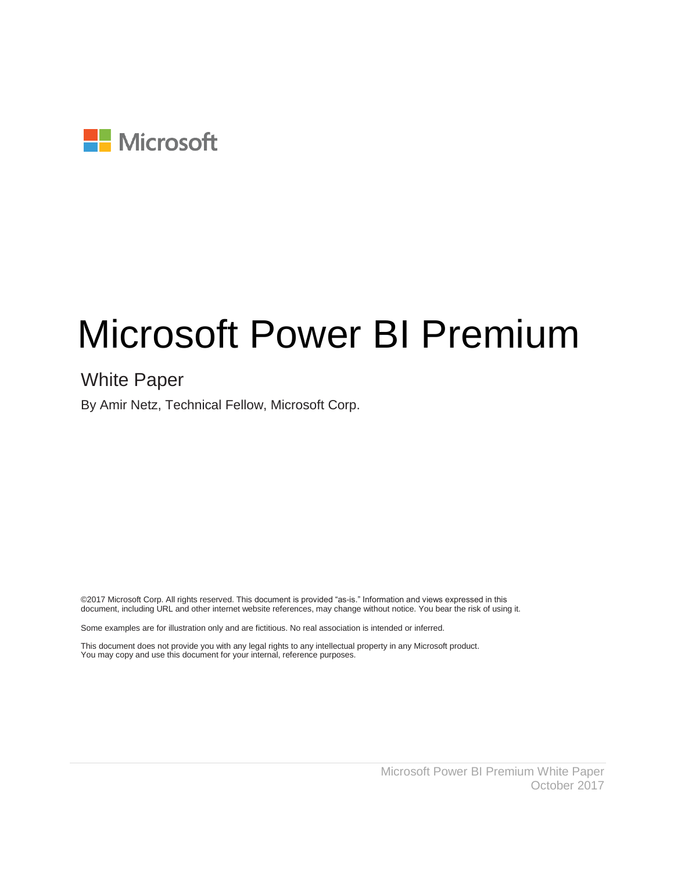

# Microsoft Power BI Premium

### White Paper

By Amir Netz, Technical Fellow, Microsoft Corp.

©2017 Microsoft Corp. All rights reserved. This document is provided "as-is." Information and views expressed in this document, including URL and other internet website references, may change without notice. You bear the risk of using it.

Some examples are for illustration only and are fictitious. No real association is intended or inferred.

This document does not provide you with any legal rights to any intellectual property in any Microsoft product. You may copy and use this document for your internal, reference purposes.

> Microsoft Power BI Premium White Paper October 2017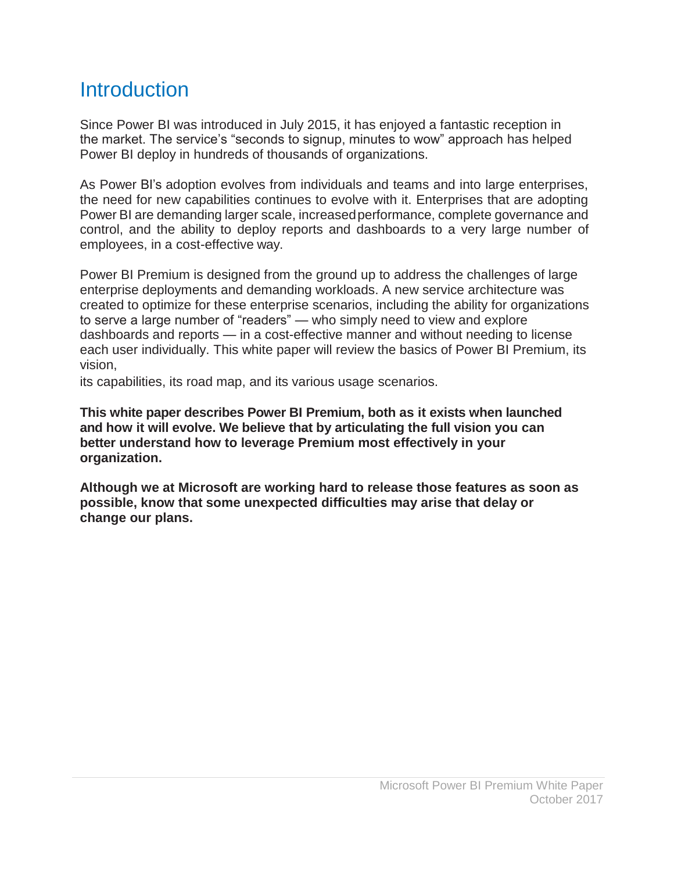### **Introduction**

Since Power BI was introduced in July 2015, it has enjoyed a fantastic reception in the market. The service's "seconds to signup, minutes to wow" approach has helped Power BI deploy in hundreds of thousands of organizations.

As Power BI's adoption evolves from individuals and teams and into large enterprises, the need for new capabilities continues to evolve with it. Enterprises that are adopting Power BI are demanding larger scale, increasedperformance, complete governance and control, and the ability to deploy reports and dashboards to a very large number of employees, in a cost-effective way.

Power BI Premium is designed from the ground up to address the challenges of large enterprise deployments and demanding workloads. A new service architecture was created to optimize for these enterprise scenarios, including the ability for organizations to serve a large number of "readers" — who simply need to view and explore dashboards and reports — in a cost-effective manner and without needing to license each user individually. This white paper will review the basics of Power BI Premium, its vision,

its capabilities, its road map, and its various usage scenarios.

**This white paper describes Power BI Premium, both as it exists when launched and how it will evolve. We believe that by articulating the full vision you can better understand how to leverage Premium most effectively in your organization.**

**Although we at Microsoft are working hard to release those features as soon as possible, know that some unexpected difficulties may arise that delay or change our plans.**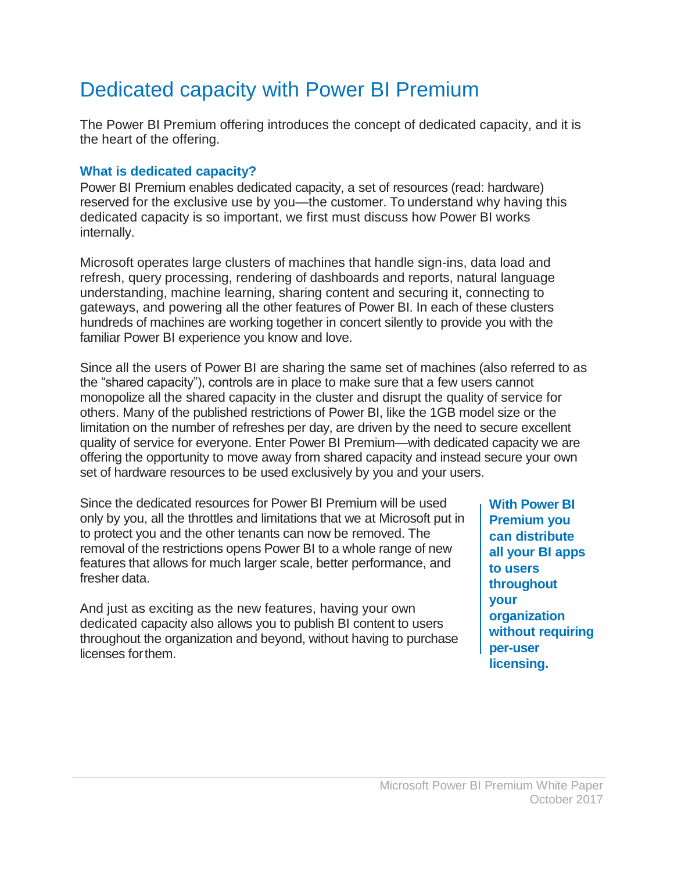# Dedicated capacity with Power BI Premium

The Power BI Premium offering introduces the concept of dedicated capacity, and it is the heart of the offering.

#### **What is dedicated capacity?**

Power BI Premium enables dedicated capacity, a set of resources (read: hardware) reserved for the exclusive use by you—the customer. To understand why having this dedicated capacity is so important, we first must discuss how Power BI works internally.

Microsoft operates large clusters of machines that handle sign-ins, data load and refresh, query processing, rendering of dashboards and reports, natural language understanding, machine learning, sharing content and securing it, connecting to gateways, and powering all the other features of Power BI. In each of these clusters hundreds of machines are working together in concert silently to provide you with the familiar Power BI experience you know and love.

Since all the users of Power BI are sharing the same set of machines (also referred to as the "shared capacity"), controls are in place to make sure that a few users cannot monopolize all the shared capacity in the cluster and disrupt the quality of service for others. Many of the published restrictions of Power BI, like the 1GB model size or the limitation on the number of refreshes per day, are driven by the need to secure excellent quality of service for everyone. Enter Power BI Premium—with dedicated capacity we are offering the opportunity to move away from shared capacity and instead secure your own set of hardware resources to be used exclusively by you and your users.

Since the dedicated resources for Power BI Premium will be used only by you, all the throttles and limitations that we at Microsoft put in to protect you and the other tenants can now be removed. The removal of the restrictions opens Power BI to a whole range of new features that allows for much larger scale, better performance, and fresher data.

And just as exciting as the new features, having your own dedicated capacity also allows you to publish BI content to users throughout the organization and beyond, without having to purchase licenses forthem.

**With Power BI Premium you can distribute all your BI apps to users throughout your organization without requiring per-user licensing.**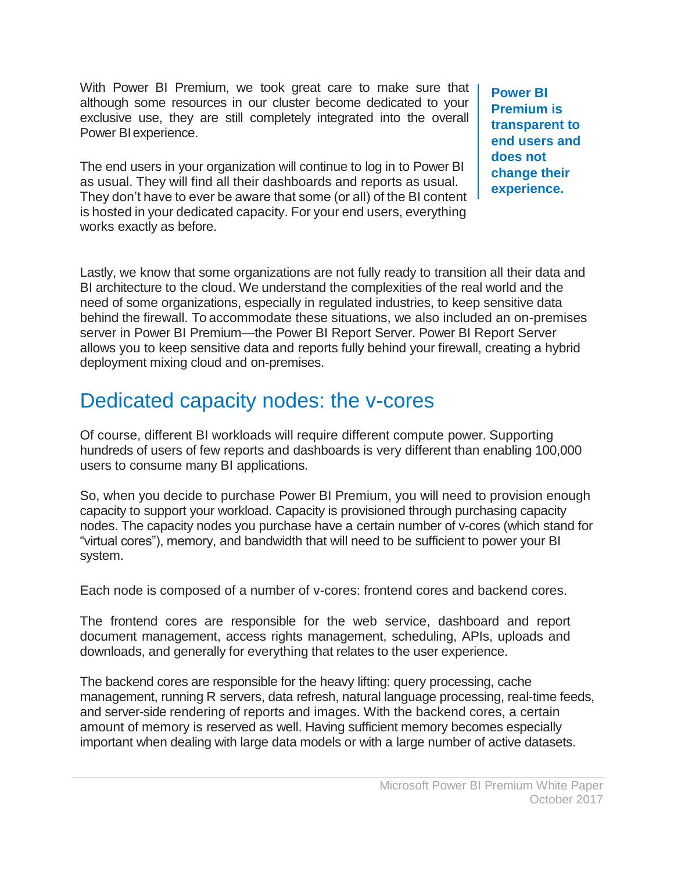With Power BI Premium, we took great care to make sure that although some resources in our cluster become dedicated to your exclusive use, they are still completely integrated into the overall Power BIexperience.

The end users in your organization will continue to log in to Power BI as usual. They will find all their dashboards and reports as usual. They don't have to ever be aware that some (or all) of the BI content is hosted in your dedicated capacity. For your end users, everything works exactly as before.

**Power BI Premium is transparent to end users and does not change their experience.**

Lastly, we know that some organizations are not fully ready to transition all their data and BI architecture to the cloud. We understand the complexities of the real world and the need of some organizations, especially in regulated industries, to keep sensitive data behind the firewall. To accommodate these situations, we also included an on-premises server in Power BI Premium—the Power BI Report Server. Power BI Report Server allows you to keep sensitive data and reports fully behind your firewall, creating a hybrid deployment mixing cloud and on-premises.

### Dedicated capacity nodes: the v-cores

Of course, different BI workloads will require different compute power. Supporting hundreds of users of few reports and dashboards is very different than enabling 100,000 users to consume many BI applications.

So, when you decide to purchase Power BI Premium, you will need to provision enough capacity to support your workload. Capacity is provisioned through purchasing capacity nodes. The capacity nodes you purchase have a certain number of v-cores (which stand for "virtual cores"), memory, and bandwidth that will need to be sufficient to power your BI system.

Each node is composed of a number of v-cores: frontend cores and backend cores.

The frontend cores are responsible for the web service, dashboard and report document management, access rights management, scheduling, APIs, uploads and downloads, and generally for everything that relates to the user experience.

The backend cores are responsible for the heavy lifting: query processing, cache management, running R servers, data refresh, natural language processing, real-time feeds, and server-side rendering of reports and images. With the backend cores, a certain amount of memory is reserved as well. Having sufficient memory becomes especially important when dealing with large data models or with a large number of active datasets.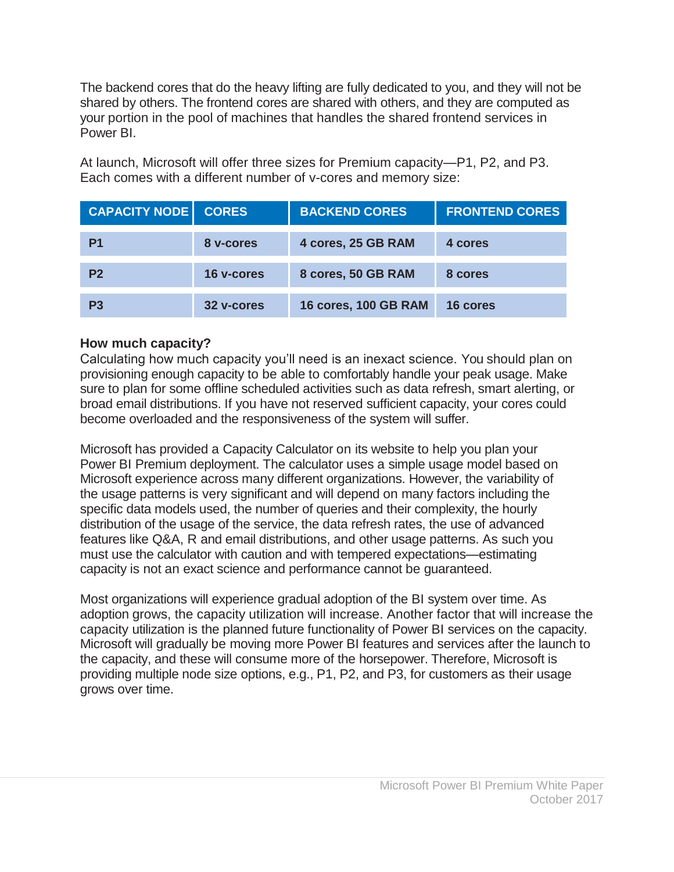The backend cores that do the heavy lifting are fully dedicated to you, and they will not be shared by others. The frontend cores are shared with others, and they are computed as your portion in the pool of machines that handles the shared frontend services in Power BI.

At launch, Microsoft will offer three sizes for Premium capacity—P1, P2, and P3. Each comes with a different number of v-cores and memory size:

| <b>CAPACITY NODE   CORES</b> |            | <b>BACKEND CORES</b>        | <b>FRONTEND CORES</b> |
|------------------------------|------------|-----------------------------|-----------------------|
| P1                           | 8 v-cores  | 4 cores, 25 GB RAM          | 4 cores               |
| P <sub>2</sub>               | 16 v-cores | 8 cores, 50 GB RAM          | 8 cores               |
| P <sub>3</sub>               | 32 v-cores | <b>16 cores, 100 GB RAM</b> | 16 cores              |

#### **How much capacity?**

Calculating how much capacity you'll need is an inexact science. You should plan on provisioning enough capacity to be able to comfortably handle your peak usage. Make sure to plan for some offline scheduled activities such as data refresh, smart alerting, or broad email distributions. If you have not reserved sufficient capacity, your cores could become overloaded and the responsiveness of the system will suffer.

Microsoft has provided a Capacity Calculator on its website to help you plan your Power BI Premium deployment. The calculator uses a simple usage model based on Microsoft experience across many different organizations. However, the variability of the usage patterns is very significant and will depend on many factors including the specific data models used, the number of queries and their complexity, the hourly distribution of the usage of the service, the data refresh rates, the use of advanced features like Q&A, R and email distributions, and other usage patterns. As such you must use the calculator with caution and with tempered expectations—estimating capacity is not an exact science and performance cannot be guaranteed.

Most organizations will experience gradual adoption of the BI system over time. As adoption grows, the capacity utilization will increase. Another factor that will increase the capacity utilization is the planned future functionality of Power BI services on the capacity. Microsoft will gradually be moving more Power BI features and services after the launch to the capacity, and these will consume more of the horsepower. Therefore, Microsoft is providing multiple node size options, e.g., P1, P2, and P3, for customers as their usage grows over time.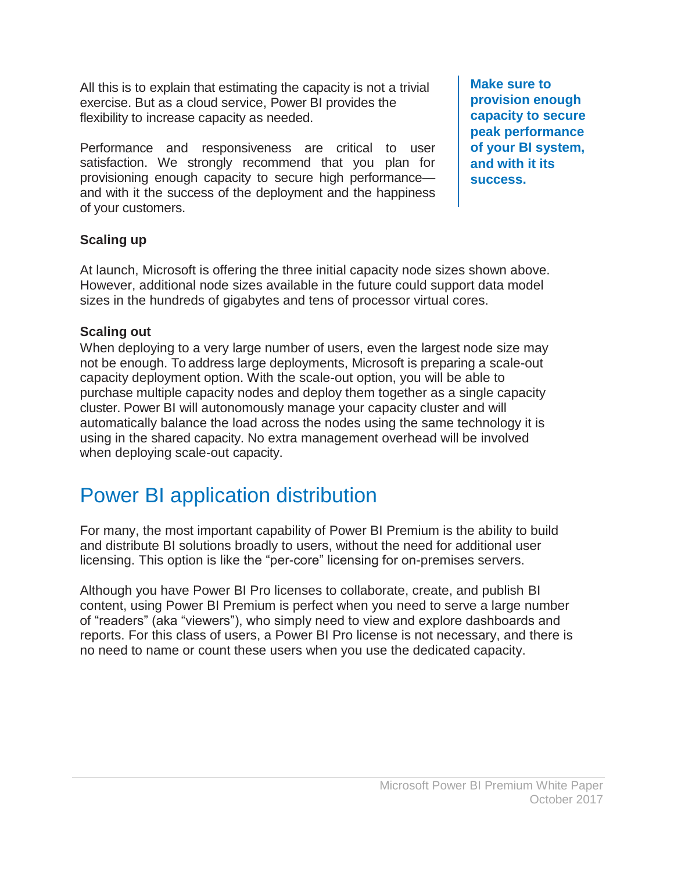All this is to explain that estimating the capacity is not a trivial exercise. But as a cloud service, Power BI provides the flexibility to increase capacity as needed.

Performance and responsiveness are critical to user satisfaction. We strongly recommend that you plan for provisioning enough capacity to secure high performance and with it the success of the deployment and the happiness of your customers.

**Make sure to provision enough capacity to secure peak performance of your BI system, and with it its success.**

#### **Scaling up**

At launch, Microsoft is offering the three initial capacity node sizes shown above. However, additional node sizes available in the future could support data model sizes in the hundreds of gigabytes and tens of processor virtual cores.

#### **Scaling out**

When deploying to a very large number of users, even the largest node size may not be enough. To address large deployments, Microsoft is preparing a scale-out capacity deployment option. With the scale-out option, you will be able to purchase multiple capacity nodes and deploy them together as a single capacity cluster. Power BI will autonomously manage your capacity cluster and will automatically balance the load across the nodes using the same technology it is using in the shared capacity. No extra management overhead will be involved when deploying scale-out capacity.

### Power BI application distribution

For many, the most important capability of Power BI Premium is the ability to build and distribute BI solutions broadly to users, without the need for additional user licensing. This option is like the "per-core" licensing for on-premises servers.

Although you have Power BI Pro licenses to collaborate, create, and publish BI content, using Power BI Premium is perfect when you need to serve a large number of "readers" (aka "viewers"), who simply need to view and explore dashboards and reports. For this class of users, a Power BI Pro license is not necessary, and there is no need to name or count these users when you use the dedicated capacity.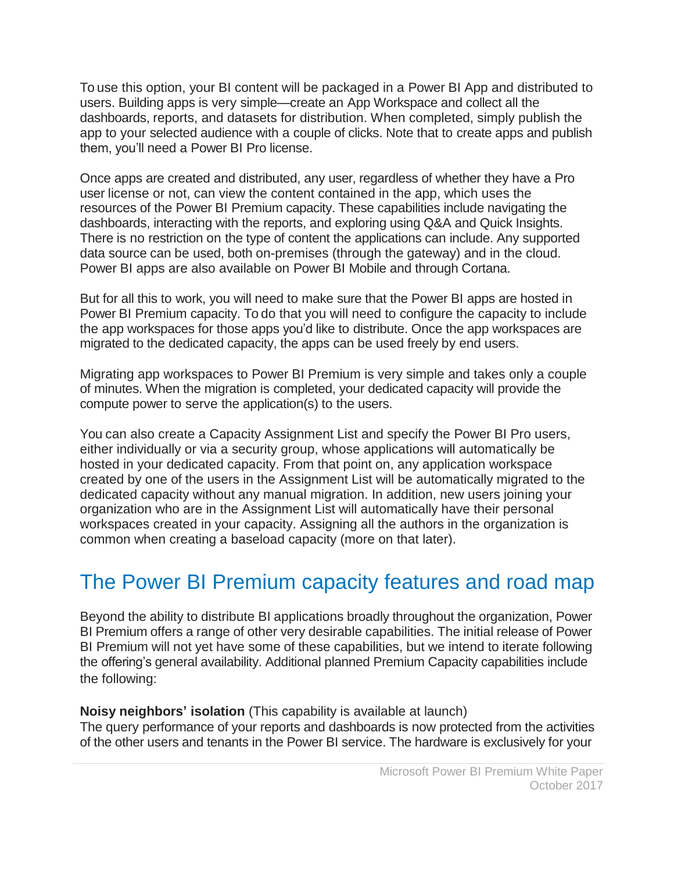To use this option, your BI content will be packaged in a Power BI App and distributed to users. Building apps is very simple—create an App Workspace and collect all the dashboards, reports, and datasets for distribution. When completed, simply publish the app to your selected audience with a couple of clicks. Note that to create apps and publish them, you'll need a Power BI Pro license.

Once apps are created and distributed, any user, regardless of whether they have a Pro user license or not, can view the content contained in the app, which uses the resources of the Power BI Premium capacity. These capabilities include navigating the dashboards, interacting with the reports, and exploring using Q&A and Quick Insights. There is no restriction on the type of content the applications can include. Any supported data source can be used, both on-premises (through the gateway) and in the cloud. Power BI apps are also available on Power BI Mobile and through Cortana.

But for all this to work, you will need to make sure that the Power BI apps are hosted in Power BI Premium capacity. To do that you will need to configure the capacity to include the app workspaces for those apps you'd like to distribute. Once the app workspaces are migrated to the dedicated capacity, the apps can be used freely by end users.

Migrating app workspaces to Power BI Premium is very simple and takes only a couple of minutes. When the migration is completed, your dedicated capacity will provide the compute power to serve the application(s) to the users.

You can also create a Capacity Assignment List and specify the Power BI Pro users, either individually or via a security group, whose applications will automatically be hosted in your dedicated capacity. From that point on, any application workspace created by one of the users in the Assignment List will be automatically migrated to the dedicated capacity without any manual migration. In addition, new users joining your organization who are in the Assignment List will automatically have their personal workspaces created in your capacity. Assigning all the authors in the organization is common when creating a baseload capacity (more on that later).

# The Power BI Premium capacity features and road map

Beyond the ability to distribute BI applications broadly throughout the organization, Power BI Premium offers a range of other very desirable capabilities. The initial release of Power BI Premium will not yet have some of these capabilities, but we intend to iterate following the offering's general availability. Additional planned Premium Capacity capabilities include the following:

#### **Noisy neighbors' isolation** (This capability is available at launch)

The query performance of your reports and dashboards is now protected from the activities of the other users and tenants in the Power BI service. The hardware is exclusively for your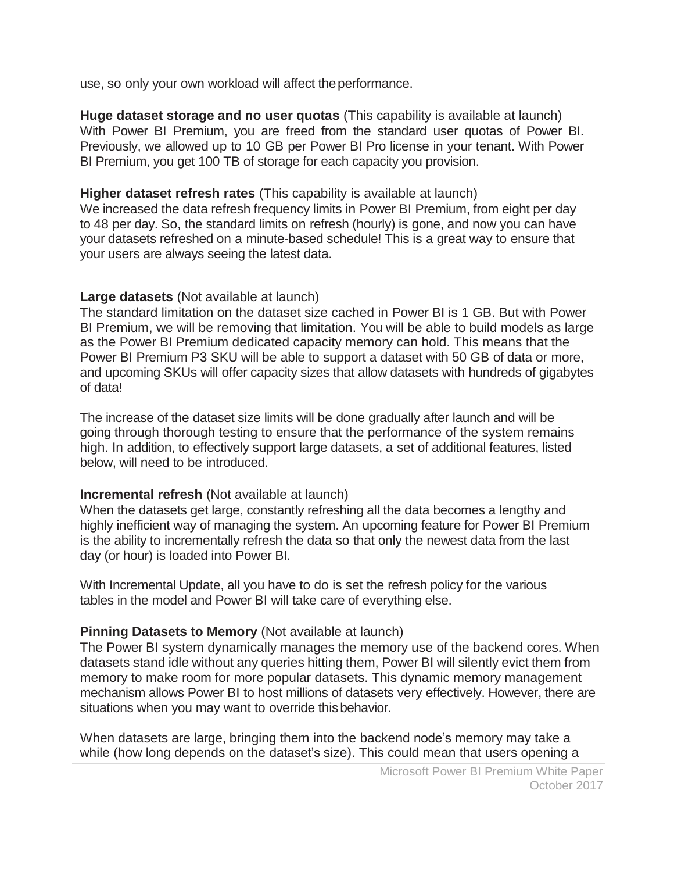use, so only your own workload will affect the performance.

**Huge dataset storage and no user quotas** (This capability is available at launch) With Power BI Premium, you are freed from the standard user quotas of Power BI. Previously, we allowed up to 10 GB per Power BI Pro license in your tenant. With Power BI Premium, you get 100 TB of storage for each capacity you provision.

#### **Higher dataset refresh rates** (This capability is available at launch)

We increased the data refresh frequency limits in Power BI Premium, from eight per day to 48 per day. So, the standard limits on refresh (hourly) is gone, and now you can have your datasets refreshed on a minute-based schedule! This is a great way to ensure that your users are always seeing the latest data.

#### **Large datasets** (Not available at launch)

The standard limitation on the dataset size cached in Power BI is 1 GB. But with Power BI Premium, we will be removing that limitation. You will be able to build models as large as the Power BI Premium dedicated capacity memory can hold. This means that the Power BI Premium P3 SKU will be able to support a dataset with 50 GB of data or more, and upcoming SKUs will offer capacity sizes that allow datasets with hundreds of gigabytes of data!

The increase of the dataset size limits will be done gradually after launch and will be going through thorough testing to ensure that the performance of the system remains high. In addition, to effectively support large datasets, a set of additional features, listed below, will need to be introduced.

#### **Incremental refresh** (Not available at launch)

When the datasets get large, constantly refreshing all the data becomes a lengthy and highly inefficient way of managing the system. An upcoming feature for Power BI Premium is the ability to incrementally refresh the data so that only the newest data from the last day (or hour) is loaded into Power BI.

With Incremental Update, all you have to do is set the refresh policy for the various tables in the model and Power BI will take care of everything else.

#### **Pinning Datasets to Memory (Not available at launch)**

The Power BI system dynamically manages the memory use of the backend cores. When datasets stand idle without any queries hitting them, Power BI will silently evict them from memory to make room for more popular datasets. This dynamic memory management mechanism allows Power BI to host millions of datasets very effectively. However, there are situations when you may want to override thisbehavior.

When datasets are large, bringing them into the backend node's memory may take a while (how long depends on the dataset's size). This could mean that users opening a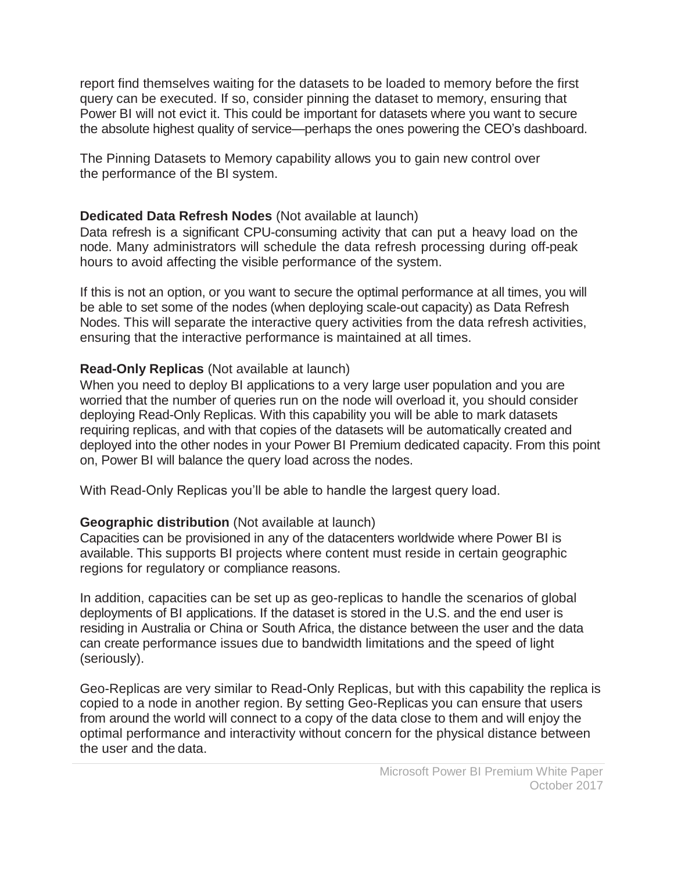report find themselves waiting for the datasets to be loaded to memory before the first query can be executed. If so, consider pinning the dataset to memory, ensuring that Power BI will not evict it. This could be important for datasets where you want to secure the absolute highest quality of service—perhaps the ones powering the CEO's dashboard.

The Pinning Datasets to Memory capability allows you to gain new control over the performance of the BI system.

#### **Dedicated Data Refresh Nodes** (Not available at launch)

Data refresh is a significant CPU-consuming activity that can put a heavy load on the node. Many administrators will schedule the data refresh processing during off-peak hours to avoid affecting the visible performance of the system.

If this is not an option, or you want to secure the optimal performance at all times, you will be able to set some of the nodes (when deploying scale-out capacity) as Data Refresh Nodes. This will separate the interactive query activities from the data refresh activities, ensuring that the interactive performance is maintained at all times.

#### **Read-Only Replicas** (Not available at launch)

When you need to deploy BI applications to a very large user population and you are worried that the number of queries run on the node will overload it, you should consider deploying Read-Only Replicas. With this capability you will be able to mark datasets requiring replicas, and with that copies of the datasets will be automatically created and deployed into the other nodes in your Power BI Premium dedicated capacity. From this point on, Power BI will balance the query load across the nodes.

With Read-Only Replicas you'll be able to handle the largest query load.

#### **Geographic distribution** (Not available at launch)

Capacities can be provisioned in any of the datacenters worldwide where Power BI is available. This supports BI projects where content must reside in certain geographic regions for regulatory or compliance reasons.

In addition, capacities can be set up as geo-replicas to handle the scenarios of global deployments of BI applications. If the dataset is stored in the U.S. and the end user is residing in Australia or China or South Africa, the distance between the user and the data can create performance issues due to bandwidth limitations and the speed of light (seriously).

Geo-Replicas are very similar to Read-Only Replicas, but with this capability the replica is copied to a node in another region. By setting Geo-Replicas you can ensure that users from around the world will connect to a copy of the data close to them and will enjoy the optimal performance and interactivity without concern for the physical distance between the user and the data.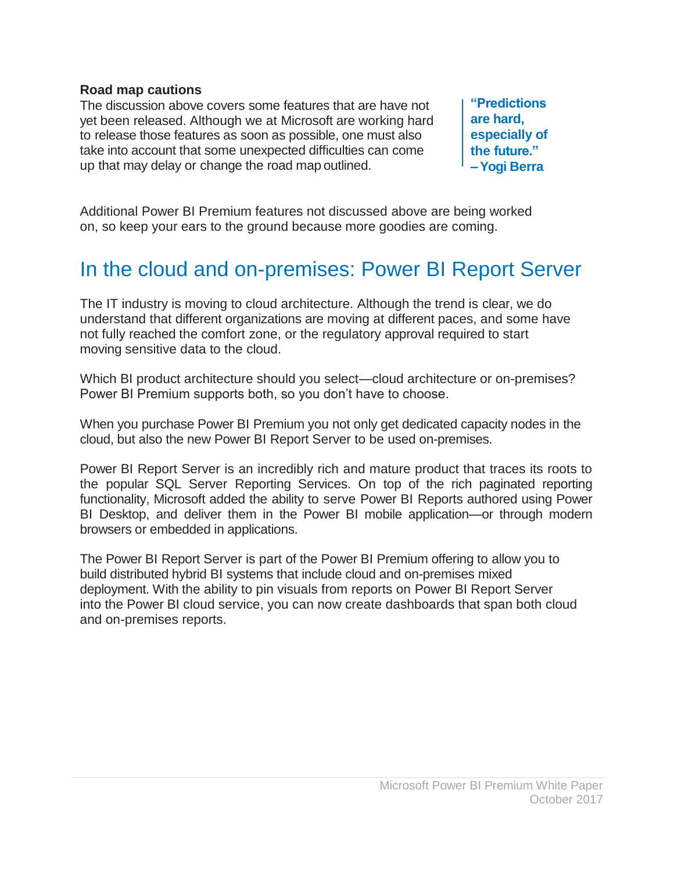#### **Road map cautions**

The discussion above covers some features that are have not yet been released. Although we at Microsoft are working hard to release those features as soon as possible, one must also take into account that some unexpected difficulties can come up that may delay or change the road map outlined.

**"Predictions are hard, especially of the future." –Yogi Berra**

Additional Power BI Premium features not discussed above are being worked on, so keep your ears to the ground because more goodies are coming.

### In the cloud and on-premises: Power BI Report Server

The IT industry is moving to cloud architecture. Although the trend is clear, we do understand that different organizations are moving at different paces, and some have not fully reached the comfort zone, or the regulatory approval required to start moving sensitive data to the cloud.

Which BI product architecture should you select—cloud architecture or on-premises? Power BI Premium supports both, so you don't have to choose.

When you purchase Power BI Premium you not only get dedicated capacity nodes in the cloud, but also the new Power BI Report Server to be used on-premises.

Power BI Report Server is an incredibly rich and mature product that traces its roots to the popular SQL Server Reporting Services. On top of the rich paginated reporting functionality, Microsoft added the ability to serve Power BI Reports authored using Power BI Desktop, and deliver them in the Power BI mobile application—or through modern browsers or embedded in applications.

The Power BI Report Server is part of the Power BI Premium offering to allow you to build distributed hybrid BI systems that include cloud and on-premises mixed deployment. With the ability to pin visuals from reports on Power BI Report Server into the Power BI cloud service, you can now create dashboards that span both cloud and on-premises reports.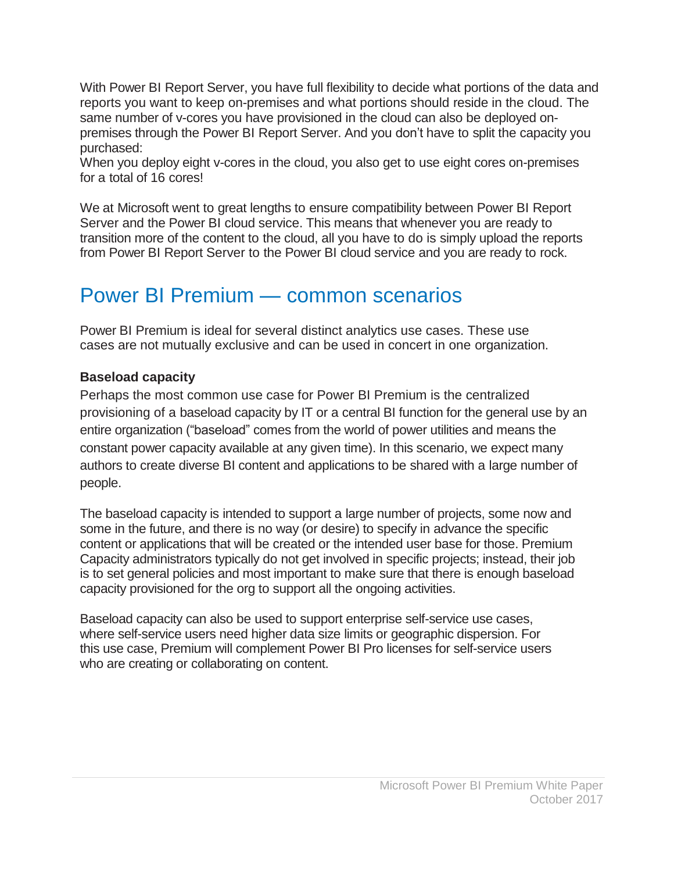With Power BI Report Server, you have full flexibility to decide what portions of the data and reports you want to keep on-premises and what portions should reside in the cloud. The same number of v-cores you have provisioned in the cloud can also be deployed onpremises through the Power BI Report Server. And you don't have to split the capacity you purchased:

When you deploy eight v-cores in the cloud, you also get to use eight cores on-premises for a total of 16 cores!

We at Microsoft went to great lengths to ensure compatibility between Power BI Report Server and the Power BI cloud service. This means that whenever you are ready to transition more of the content to the cloud, all you have to do is simply upload the reports from Power BI Report Server to the Power BI cloud service and you are ready to rock.

### Power BI Premium — common scenarios

Power BI Premium is ideal for several distinct analytics use cases. These use cases are not mutually exclusive and can be used in concert in one organization.

#### **Baseload capacity**

Perhaps the most common use case for Power BI Premium is the centralized provisioning of a baseload capacity by IT or a central BI function for the general use by an entire organization ("baseload" comes from the world of power utilities and means the constant power capacity available at any given time). In this scenario, we expect many authors to create diverse BI content and applications to be shared with a large number of people.

The baseload capacity is intended to support a large number of projects, some now and some in the future, and there is no way (or desire) to specify in advance the specific content or applications that will be created or the intended user base for those. Premium Capacity administrators typically do not get involved in specific projects; instead, their job is to set general policies and most important to make sure that there is enough baseload capacity provisioned for the org to support all the ongoing activities.

Baseload capacity can also be used to support enterprise self-service use cases, where self-service users need higher data size limits or geographic dispersion. For this use case, Premium will complement Power BI Pro licenses for self-service users who are creating or collaborating on content.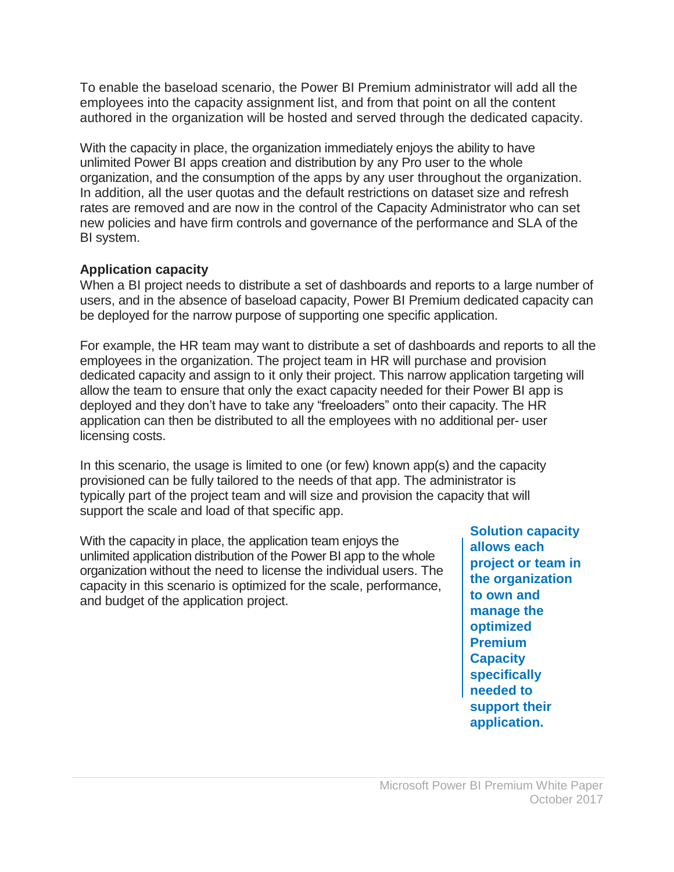To enable the baseload scenario, the Power BI Premium administrator will add all the employees into the capacity assignment list, and from that point on all the content authored in the organization will be hosted and served through the dedicated capacity.

With the capacity in place, the organization immediately enjoys the ability to have unlimited Power BI apps creation and distribution by any Pro user to the whole organization, and the consumption of the apps by any user throughout the organization. In addition, all the user quotas and the default restrictions on dataset size and refresh rates are removed and are now in the control of the Capacity Administrator who can set new policies and have firm controls and governance of the performance and SLA of the BI system.

#### **Application capacity**

When a BI project needs to distribute a set of dashboards and reports to a large number of users, and in the absence of baseload capacity, Power BI Premium dedicated capacity can be deployed for the narrow purpose of supporting one specific application.

For example, the HR team may want to distribute a set of dashboards and reports to all the employees in the organization. The project team in HR will purchase and provision dedicated capacity and assign to it only their project. This narrow application targeting will allow the team to ensure that only the exact capacity needed for their Power BI app is deployed and they don't have to take any "freeloaders" onto their capacity. The HR application can then be distributed to all the employees with no additional per- user licensing costs.

In this scenario, the usage is limited to one (or few) known app(s) and the capacity provisioned can be fully tailored to the needs of that app. The administrator is typically part of the project team and will size and provision the capacity that will support the scale and load of that specific app.

With the capacity in place, the application team enjoys the unlimited application distribution of the Power BI app to the whole organization without the need to license the individual users. The capacity in this scenario is optimized for the scale, performance, and budget of the application project.

**Solution capacity allows each project or team in the organization to own and manage the optimized Premium Capacity specifically needed to support their application.**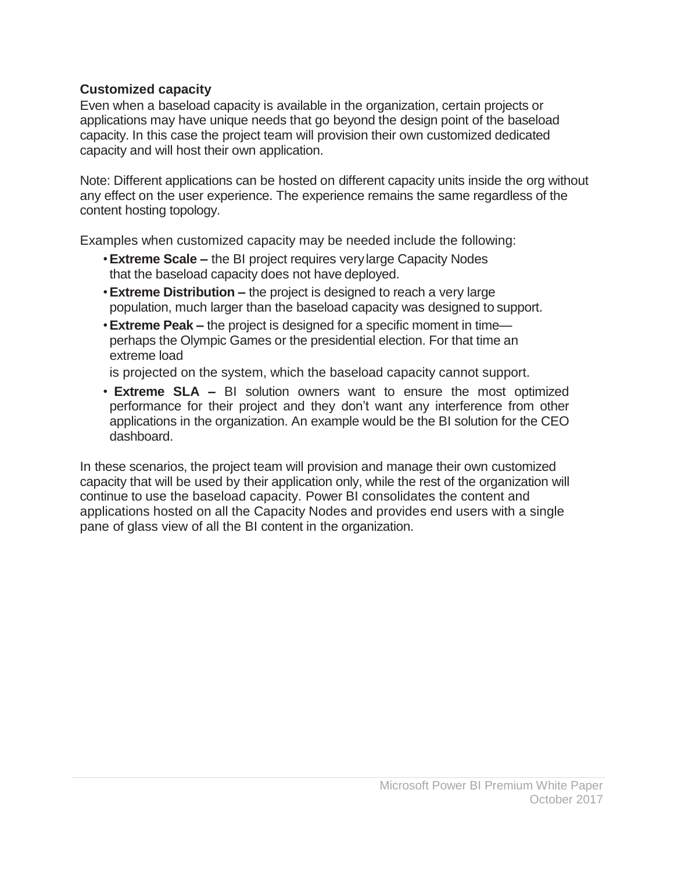#### **Customized capacity**

Even when a baseload capacity is available in the organization, certain projects or applications may have unique needs that go beyond the design point of the baseload capacity. In this case the project team will provision their own customized dedicated capacity and will host their own application.

Note: Different applications can be hosted on different capacity units inside the org without any effect on the user experience. The experience remains the same regardless of the content hosting topology.

Examples when customized capacity may be needed include the following:

- •**Extreme Scale –** the BI project requires verylarge Capacity Nodes that the baseload capacity does not have deployed.
- •**Extreme Distribution –** the project is designed to reach a very large population, much larger than the baseload capacity was designed to support.
- •**Extreme Peak –** the project is designed for a specific moment in time perhaps the Olympic Games or the presidential election. For that time an extreme load

is projected on the system, which the baseload capacity cannot support.

• **Extreme SLA –** BI solution owners want to ensure the most optimized performance for their project and they don't want any interference from other applications in the organization. An example would be the BI solution for the CEO dashboard.

In these scenarios, the project team will provision and manage their own customized capacity that will be used by their application only, while the rest of the organization will continue to use the baseload capacity. Power BI consolidates the content and applications hosted on all the Capacity Nodes and provides end users with a single pane of glass view of all the BI content in the organization.